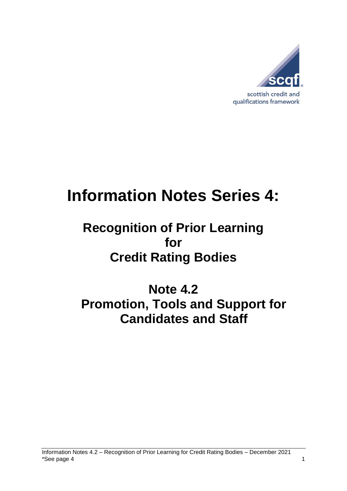

# **Information Notes Series 4:**

## **Recognition of Prior Learning for Credit Rating Bodies**

**Note 4.2 Promotion, Tools and Support for Candidates and Staff**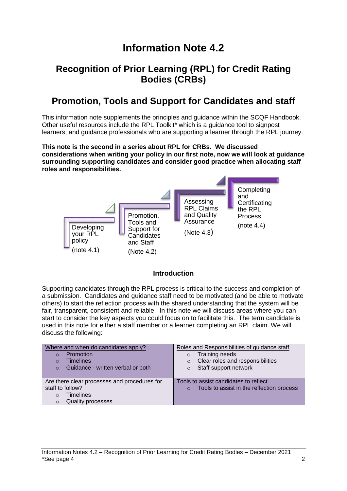## **Information Note 4.2**

#### **Recognition of Prior Learning (RPL) for Credit Rating Bodies (CRBs)**

### **Promotion, Tools and Support for Candidates and staff**

This information note supplements the principles and guidance within the SCQF Handbook. Other useful resources include the RPL Toolkit\* which is a guidance tool to signpost learners, and guidance professionals who are supporting a learner through the RPL journey.

**This note is the second in a series about RPL for CRBs. We discussed considerations when writing your policy in our first note, now we will look at guidance surrounding supporting candidates and consider good practice when allocating staff roles and responsibilities.**



#### **Introduction**

Supporting candidates through the RPL process is critical to the success and completion of a submission. Candidates and guidance staff need to be motivated (and be able to motivate others) to start the reflection process with the shared understanding that the system will be fair, transparent, consistent and reliable. In this note we will discuss areas where you can start to consider the key aspects you could focus on to facilitate this. The term candidate is used in this note for either a staff member or a learner completing an RPL claim. We will discuss the following:

| Where and when do candidates apply?           | Roles and Responsibilities of guidance staff          |
|-----------------------------------------------|-------------------------------------------------------|
| Promotion<br>$\circ$                          | Training needs<br>$\circ$                             |
| <b>Timelines</b><br>$\Omega$                  | Clear roles and responsibilities<br>$\Omega$          |
| Guidance - written verbal or both<br>$\Omega$ | Staff support network<br>$\circ$                      |
|                                               |                                                       |
| Are there clear processes and procedures for  | Tools to assist candidates to reflect                 |
| staff to follow?                              | Tools to assist in the reflection process<br>$\Omega$ |
| <b>Timelines</b><br>$\Omega$                  |                                                       |
| <b>Quality processes</b><br>O                 |                                                       |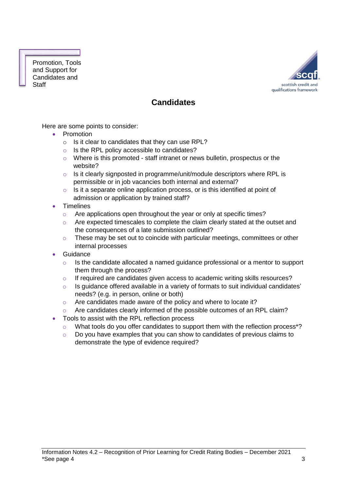Promotion, Tools and Support for Candidates and **Staff** 



#### **Candidates**

Here are some points to consider:

- Promotion
	- $\circ$  Is it clear to candidates that they can use RPL?
	- o Is the RPL policy accessible to candidates?
	- o Where is this promoted staff intranet or news bulletin, prospectus or the website?
	- o Is it clearly signposted in programme/unit/module descriptors where RPL is permissible or in job vacancies both internal and external?
	- $\circ$  Is it a separate online application process, or is this identified at point of admission or application by trained staff?
- Timelines
	- o Are applications open throughout the year or only at specific times?
	- $\circ$  Are expected timescales to complete the claim clearly stated at the outset and the consequences of a late submission outlined?
	- o These may be set out to coincide with particular meetings, committees or other internal processes
- Guidance
	- o Is the candidate allocated a named guidance professional or a mentor to support them through the process?
	- $\circ$  If required are candidates given access to academic writing skills resources?
	- $\circ$  Is guidance offered available in a variety of formats to suit individual candidates' needs? (e.g. in person, online or both)
	- o Are candidates made aware of the policy and where to locate it?
	- $\circ$  Are candidates clearly informed of the possible outcomes of an RPL claim?
- Tools to assist with the RPL reflection process
	- o What tools do you offer candidates to support them with the reflection process\*?
	- o Do you have examples that you can show to candidates of previous claims to demonstrate the type of evidence required?